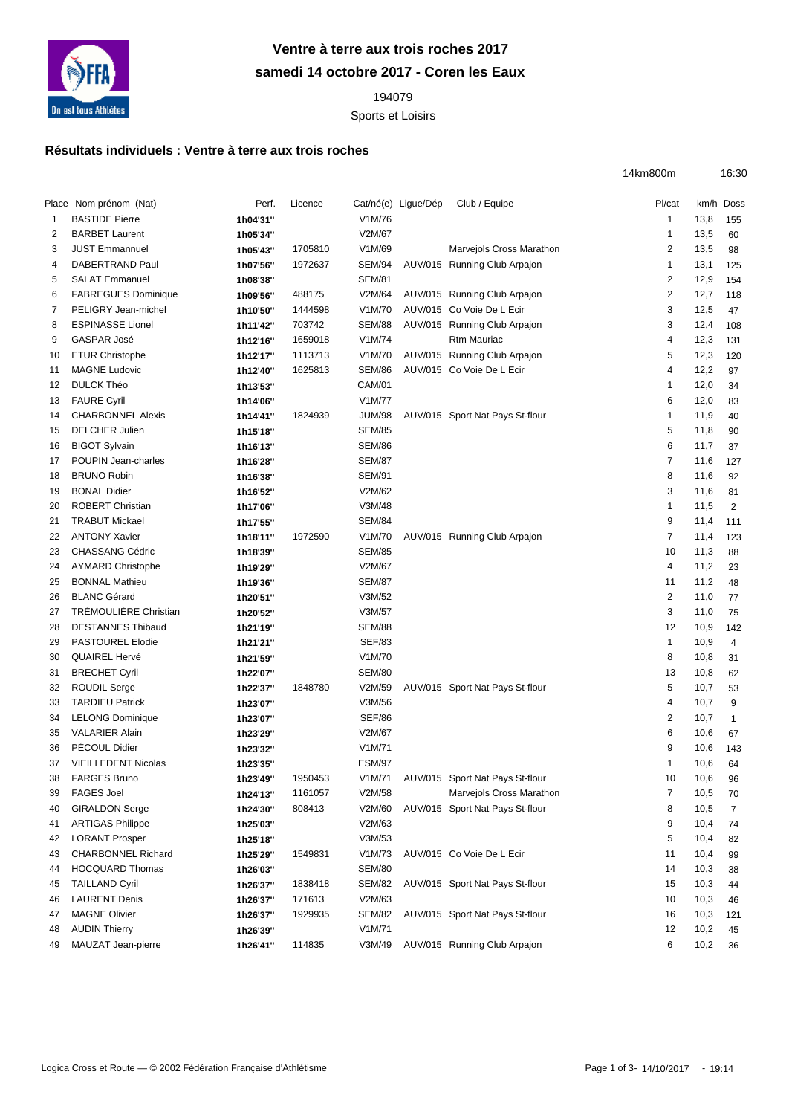

## **Ventre à terre aux trois roches 2017 samedi 14 octobre 2017 - Coren les Eaux**

Sports et Loisirs

## **Résultats individuels : Ventre à terre aux trois roches**

|    | Place Nom prénom (Nat)     | Perf.    | Licence |               | Cat/né(e) Ligue/Dép | Club / Equipe                          | Pl/cat                  |      | km/h Doss      |
|----|----------------------------|----------|---------|---------------|---------------------|----------------------------------------|-------------------------|------|----------------|
| 1  | <b>BASTIDE Pierre</b>      | 1h04'31" |         | V1M/76        |                     |                                        | $\overline{1}$          | 13,8 | 155            |
| 2  | <b>BARBET Laurent</b>      | 1h05'34" |         | V2M/67        |                     |                                        | -1                      | 13,5 | 60             |
| 3  | <b>JUST Emmannuel</b>      | 1h05'43" | 1705810 | V1M/69        |                     | Marvejols Cross Marathon               | 2                       | 13,5 | 98             |
| 4  | DABERTRAND Paul            | 1h07'56" | 1972637 | SEM/94        |                     | AUV/015 Running Club Arpajon           | $\mathbf 1$             | 13,1 | 125            |
| 5  | <b>SALAT Emmanuel</b>      | 1h08'38" |         | <b>SEM/81</b> |                     |                                        | 2                       | 12,9 | 154            |
| 6  | <b>FABREGUES Dominique</b> | 1h09'56" | 488175  | V2M/64        |                     | AUV/015 Running Club Arpajon           | $\overline{\mathbf{c}}$ | 12,7 | 118            |
| 7  | PELIGRY Jean-michel        | 1h10'50" | 1444598 | V1M/70        |                     | AUV/015 Co Voie De L Ecir              | 3                       | 12,5 | 47             |
| 8  | <b>ESPINASSE Lionel</b>    | 1h11'42" | 703742  | SEM/88        |                     | AUV/015 Running Club Arpajon           | 3                       | 12,4 | 108            |
| 9  | GASPAR José                | 1h12'16" | 1659018 | V1M/74        |                     | Rtm Mauriac                            | 4                       | 12,3 | 131            |
| 10 | <b>ETUR Christophe</b>     | 1h12'17" | 1113713 | V1M/70        |                     | AUV/015 Running Club Arpajon           | 5                       | 12,3 | 120            |
| 11 | <b>MAGNE Ludovic</b>       | 1h12'40" | 1625813 | <b>SEM/86</b> |                     | AUV/015 Co Voie De L Ecir              | 4                       | 12,2 | 97             |
| 12 | <b>DULCK Théo</b>          | 1h13'53" |         | <b>CAM/01</b> |                     |                                        | 1                       | 12,0 | 34             |
| 13 | <b>FAURE Cyril</b>         | 1h14'06" |         | V1M/77        |                     |                                        | 6                       | 12,0 | 83             |
| 14 | <b>CHARBONNEL Alexis</b>   | 1h14'41" | 1824939 | JUM/98        |                     | AUV/015 Sport Nat Pays St-flour        | -1                      | 11,9 | 40             |
| 15 | <b>DELCHER Julien</b>      | 1h15'18" |         | <b>SEM/85</b> |                     |                                        | 5                       | 11,8 | 90             |
| 16 | <b>BIGOT Sylvain</b>       | 1h16'13" |         | <b>SEM/86</b> |                     |                                        | 6                       | 11,7 | 37             |
| 17 | POUPIN Jean-charles        | 1h16'28" |         | <b>SEM/87</b> |                     |                                        | $\overline{7}$          | 11,6 | 127            |
| 18 | <b>BRUNO Robin</b>         | 1h16'38" |         | <b>SEM/91</b> |                     |                                        | 8                       | 11,6 | 92             |
| 19 | <b>BONAL Didier</b>        | 1h16'52" |         | V2M/62        |                     |                                        | 3                       | 11,6 | 81             |
| 20 | <b>ROBERT Christian</b>    | 1h17'06" |         | V3M/48        |                     |                                        | $\mathbf{1}$            | 11,5 | $\overline{2}$ |
| 21 | <b>TRABUT Mickael</b>      | 1h17'55" |         | <b>SEM/84</b> |                     |                                        | 9                       | 11,4 | 111            |
| 22 | <b>ANTONY Xavier</b>       | 1h18'11" | 1972590 | V1M/70        |                     | AUV/015 Running Club Arpajon           | 7                       | 11,4 | 123            |
| 23 | CHASSANG Cédric            | 1h18'39" |         | <b>SEM/85</b> |                     |                                        | 10                      | 11,3 | 88             |
| 24 | <b>AYMARD Christophe</b>   | 1h19'29" |         | V2M/67        |                     |                                        | 4                       | 11,2 | 23             |
| 25 | <b>BONNAL Mathieu</b>      | 1h19'36" |         | <b>SEM/87</b> |                     |                                        | 11                      | 11,2 | 48             |
| 26 | <b>BLANC Gérard</b>        | 1h20'51" |         | V3M/52        |                     |                                        | $\overline{2}$          | 11,0 | 77             |
| 27 | TRÉMOULIÈRE Christian      | 1h20'52" |         | V3M/57        |                     |                                        | 3                       | 11,0 | 75             |
| 28 | <b>DESTANNES Thibaud</b>   | 1h21'19" |         | <b>SEM/88</b> |                     |                                        | 12                      | 10,9 | 142            |
| 29 | <b>PASTOUREL Elodie</b>    | 1h21'21" |         | <b>SEF/83</b> |                     |                                        | $\mathbf{1}$            | 10,9 | 4              |
| 30 | <b>QUAIREL Hervé</b>       | 1h21'59" |         | V1M/70        |                     |                                        | 8                       | 10,8 | 31             |
| 31 | <b>BRECHET Cyril</b>       | 1h22'07" |         | <b>SEM/80</b> |                     |                                        | 13                      | 10,8 | 62             |
| 32 | <b>ROUDIL Serge</b>        | 1h22'37" | 1848780 | V2M/59        |                     | AUV/015 Sport Nat Pays St-flour        | 5                       | 10,7 | 53             |
| 33 | <b>TARDIEU Patrick</b>     | 1h23'07" |         | V3M/56        |                     |                                        | 4                       | 10,7 | 9              |
| 34 | <b>LELONG Dominique</b>    | 1h23'07" |         | <b>SEF/86</b> |                     |                                        | $\overline{2}$          | 10,7 | $\mathbf{1}$   |
| 35 | <b>VALARIER Alain</b>      | 1h23'29" |         | V2M/67        |                     |                                        | 6                       | 10,6 | 67             |
| 36 | PÉCOUL Didier              | 1h23'32" |         | V1M/71        |                     |                                        | 9                       | 10,6 | 143            |
| 37 | <b>VIEILLEDENT Nicolas</b> | 1h23'35" |         | <b>ESM/97</b> |                     |                                        | -1                      | 10,6 | 64             |
| 38 | <b>FARGES Bruno</b>        | 1h23'49" | 1950453 |               |                     | V1M/71 AUV/015 Sport Nat Pays St-flour | 10                      | 10,6 | 96             |
| 39 | <b>FAGES Joel</b>          | 1h24'13" | 1161057 | V2M/58        |                     | Marvejols Cross Marathon               | 7                       | 10,5 | 70             |
| 40 | <b>GIRALDON Serge</b>      | 1h24'30" | 808413  | V2M/60        |                     | AUV/015 Sport Nat Pays St-flour        | 8                       | 10,5 | $\overline{7}$ |
| 41 | <b>ARTIGAS Philippe</b>    | 1h25'03" |         | V2M/63        |                     |                                        | 9                       | 10,4 | 74             |
| 42 | <b>LORANT Prosper</b>      | 1h25'18" |         | V3M/53        |                     |                                        | 5                       | 10,4 | 82             |
| 43 | <b>CHARBONNEL Richard</b>  | 1h25'29" | 1549831 | V1M/73        |                     | AUV/015 Co Voie De L Ecir              | 11                      | 10,4 | 99             |
| 44 | <b>HOCQUARD Thomas</b>     | 1h26'03" |         | <b>SEM/80</b> |                     |                                        | 14                      | 10,3 | 38             |
| 45 | <b>TAILLAND Cyril</b>      | 1h26'37" | 1838418 | SEM/82        |                     | AUV/015 Sport Nat Pays St-flour        | 15                      | 10,3 | 44             |
| 46 | <b>LAURENT Denis</b>       | 1h26'37" | 171613  | V2M/63        |                     |                                        | 10                      | 10,3 | 46             |
| 47 | <b>MAGNE Olivier</b>       | 1h26'37" | 1929935 | <b>SEM/82</b> |                     | AUV/015 Sport Nat Pays St-flour        | 16                      | 10,3 | 121            |
| 48 | <b>AUDIN Thierry</b>       | 1h26'39" |         | V1M/71        |                     |                                        | 12                      | 10,2 | 45             |
| 49 | MAUZAT Jean-pierre         | 1h26'41" | 114835  | V3M/49        |                     | AUV/015 Running Club Arpajon           | 6                       | 10,2 | 36             |
|    |                            |          |         |               |                     |                                        |                         |      |                |

14km800m 16:30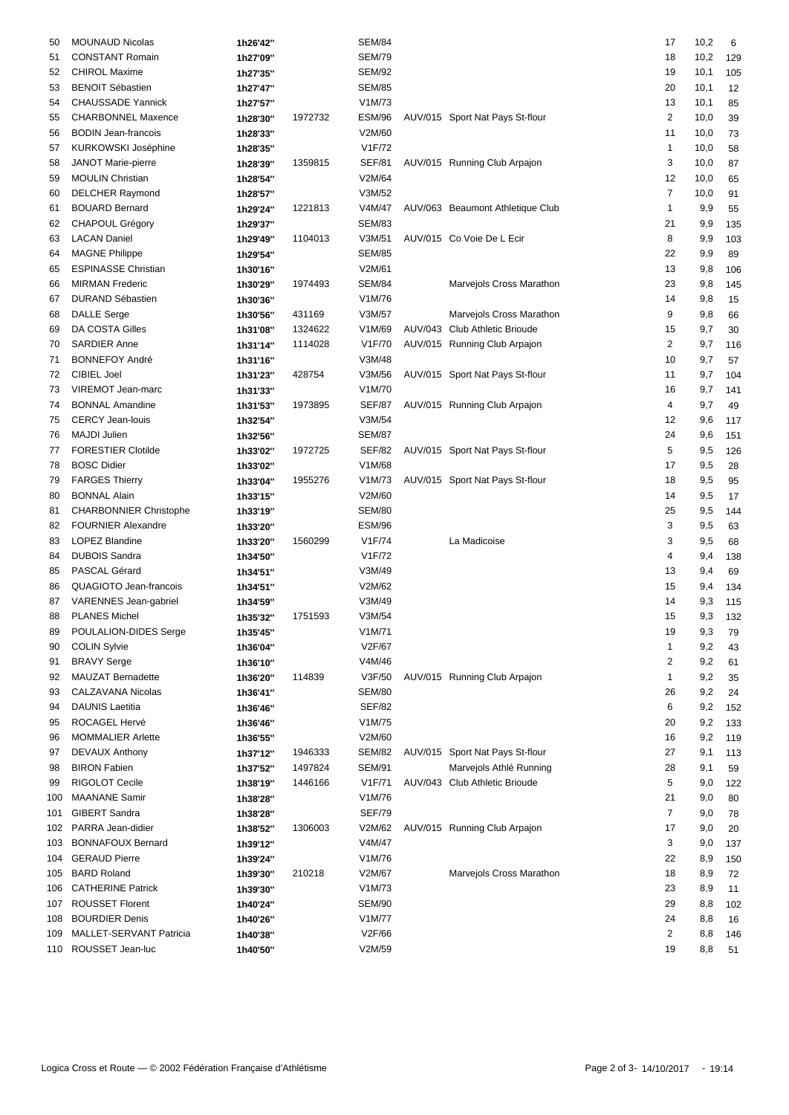| <b>MOUNAUD Nicolas</b>         | 1h26'42"                                                                                                                                                                                                                                                                                                                                                                                                                                                                                                                                                                                                                                                                                                                                                        |                                                                                                                                                                                                                                                                                                                                                                      | <b>SEM/84</b>                                                                                                                            |                                                                                                                                                                                                                                                                                                                                              |                          | 17                                                                                                                                                                                                                                                                                                                                                                                                                                                                                                                                                                | 10,2                                                                                                                                                                               | 6                                                                                                                                                                                                                 |
|--------------------------------|-----------------------------------------------------------------------------------------------------------------------------------------------------------------------------------------------------------------------------------------------------------------------------------------------------------------------------------------------------------------------------------------------------------------------------------------------------------------------------------------------------------------------------------------------------------------------------------------------------------------------------------------------------------------------------------------------------------------------------------------------------------------|----------------------------------------------------------------------------------------------------------------------------------------------------------------------------------------------------------------------------------------------------------------------------------------------------------------------------------------------------------------------|------------------------------------------------------------------------------------------------------------------------------------------|----------------------------------------------------------------------------------------------------------------------------------------------------------------------------------------------------------------------------------------------------------------------------------------------------------------------------------------------|--------------------------|-------------------------------------------------------------------------------------------------------------------------------------------------------------------------------------------------------------------------------------------------------------------------------------------------------------------------------------------------------------------------------------------------------------------------------------------------------------------------------------------------------------------------------------------------------------------|------------------------------------------------------------------------------------------------------------------------------------------------------------------------------------|-------------------------------------------------------------------------------------------------------------------------------------------------------------------------------------------------------------------|
| <b>CONSTANT Romain</b>         | 1h27'09"                                                                                                                                                                                                                                                                                                                                                                                                                                                                                                                                                                                                                                                                                                                                                        |                                                                                                                                                                                                                                                                                                                                                                      | <b>SEM/79</b>                                                                                                                            |                                                                                                                                                                                                                                                                                                                                              |                          | 18                                                                                                                                                                                                                                                                                                                                                                                                                                                                                                                                                                | 10,2                                                                                                                                                                               | 129                                                                                                                                                                                                               |
| <b>CHIROL Maxime</b>           | 1h27'35"                                                                                                                                                                                                                                                                                                                                                                                                                                                                                                                                                                                                                                                                                                                                                        |                                                                                                                                                                                                                                                                                                                                                                      | <b>SEM/92</b>                                                                                                                            |                                                                                                                                                                                                                                                                                                                                              |                          | 19                                                                                                                                                                                                                                                                                                                                                                                                                                                                                                                                                                | 10,1                                                                                                                                                                               | 105                                                                                                                                                                                                               |
| <b>BENOIT Sébastien</b>        | 1h27'47"                                                                                                                                                                                                                                                                                                                                                                                                                                                                                                                                                                                                                                                                                                                                                        |                                                                                                                                                                                                                                                                                                                                                                      | SEM/85                                                                                                                                   |                                                                                                                                                                                                                                                                                                                                              |                          | 20                                                                                                                                                                                                                                                                                                                                                                                                                                                                                                                                                                | 10,1                                                                                                                                                                               | 12                                                                                                                                                                                                                |
| <b>CHAUSSADE Yannick</b>       | 1h27'57"                                                                                                                                                                                                                                                                                                                                                                                                                                                                                                                                                                                                                                                                                                                                                        |                                                                                                                                                                                                                                                                                                                                                                      | V1M/73                                                                                                                                   |                                                                                                                                                                                                                                                                                                                                              |                          | 13                                                                                                                                                                                                                                                                                                                                                                                                                                                                                                                                                                | 10,1                                                                                                                                                                               | 85                                                                                                                                                                                                                |
| <b>CHARBONNEL Maxence</b>      | 1h28'30"                                                                                                                                                                                                                                                                                                                                                                                                                                                                                                                                                                                                                                                                                                                                                        | 1972732                                                                                                                                                                                                                                                                                                                                                              | ESM/96                                                                                                                                   |                                                                                                                                                                                                                                                                                                                                              |                          | 2                                                                                                                                                                                                                                                                                                                                                                                                                                                                                                                                                                 | 10,0                                                                                                                                                                               | 39                                                                                                                                                                                                                |
| <b>BODIN Jean-francois</b>     |                                                                                                                                                                                                                                                                                                                                                                                                                                                                                                                                                                                                                                                                                                                                                                 |                                                                                                                                                                                                                                                                                                                                                                      | V2M/60                                                                                                                                   |                                                                                                                                                                                                                                                                                                                                              |                          | 11                                                                                                                                                                                                                                                                                                                                                                                                                                                                                                                                                                | 10,0                                                                                                                                                                               | 73                                                                                                                                                                                                                |
| KURKOWSKI Joséphine            |                                                                                                                                                                                                                                                                                                                                                                                                                                                                                                                                                                                                                                                                                                                                                                 |                                                                                                                                                                                                                                                                                                                                                                      | V1F/72                                                                                                                                   |                                                                                                                                                                                                                                                                                                                                              |                          | 1                                                                                                                                                                                                                                                                                                                                                                                                                                                                                                                                                                 | 10,0                                                                                                                                                                               | 58                                                                                                                                                                                                                |
|                                |                                                                                                                                                                                                                                                                                                                                                                                                                                                                                                                                                                                                                                                                                                                                                                 |                                                                                                                                                                                                                                                                                                                                                                      |                                                                                                                                          |                                                                                                                                                                                                                                                                                                                                              |                          |                                                                                                                                                                                                                                                                                                                                                                                                                                                                                                                                                                   |                                                                                                                                                                                    | 87                                                                                                                                                                                                                |
|                                |                                                                                                                                                                                                                                                                                                                                                                                                                                                                                                                                                                                                                                                                                                                                                                 |                                                                                                                                                                                                                                                                                                                                                                      | V2M/64                                                                                                                                   |                                                                                                                                                                                                                                                                                                                                              |                          |                                                                                                                                                                                                                                                                                                                                                                                                                                                                                                                                                                   |                                                                                                                                                                                    | 65                                                                                                                                                                                                                |
|                                |                                                                                                                                                                                                                                                                                                                                                                                                                                                                                                                                                                                                                                                                                                                                                                 |                                                                                                                                                                                                                                                                                                                                                                      |                                                                                                                                          |                                                                                                                                                                                                                                                                                                                                              |                          |                                                                                                                                                                                                                                                                                                                                                                                                                                                                                                                                                                   |                                                                                                                                                                                    | 91                                                                                                                                                                                                                |
|                                |                                                                                                                                                                                                                                                                                                                                                                                                                                                                                                                                                                                                                                                                                                                                                                 |                                                                                                                                                                                                                                                                                                                                                                      |                                                                                                                                          |                                                                                                                                                                                                                                                                                                                                              |                          |                                                                                                                                                                                                                                                                                                                                                                                                                                                                                                                                                                   |                                                                                                                                                                                    | 55                                                                                                                                                                                                                |
|                                |                                                                                                                                                                                                                                                                                                                                                                                                                                                                                                                                                                                                                                                                                                                                                                 |                                                                                                                                                                                                                                                                                                                                                                      |                                                                                                                                          |                                                                                                                                                                                                                                                                                                                                              |                          |                                                                                                                                                                                                                                                                                                                                                                                                                                                                                                                                                                   |                                                                                                                                                                                    | 135                                                                                                                                                                                                               |
|                                |                                                                                                                                                                                                                                                                                                                                                                                                                                                                                                                                                                                                                                                                                                                                                                 |                                                                                                                                                                                                                                                                                                                                                                      |                                                                                                                                          |                                                                                                                                                                                                                                                                                                                                              |                          |                                                                                                                                                                                                                                                                                                                                                                                                                                                                                                                                                                   |                                                                                                                                                                                    | 103                                                                                                                                                                                                               |
|                                |                                                                                                                                                                                                                                                                                                                                                                                                                                                                                                                                                                                                                                                                                                                                                                 |                                                                                                                                                                                                                                                                                                                                                                      |                                                                                                                                          |                                                                                                                                                                                                                                                                                                                                              |                          |                                                                                                                                                                                                                                                                                                                                                                                                                                                                                                                                                                   |                                                                                                                                                                                    | 89                                                                                                                                                                                                                |
|                                |                                                                                                                                                                                                                                                                                                                                                                                                                                                                                                                                                                                                                                                                                                                                                                 |                                                                                                                                                                                                                                                                                                                                                                      |                                                                                                                                          |                                                                                                                                                                                                                                                                                                                                              |                          |                                                                                                                                                                                                                                                                                                                                                                                                                                                                                                                                                                   |                                                                                                                                                                                    |                                                                                                                                                                                                                   |
|                                |                                                                                                                                                                                                                                                                                                                                                                                                                                                                                                                                                                                                                                                                                                                                                                 |                                                                                                                                                                                                                                                                                                                                                                      |                                                                                                                                          |                                                                                                                                                                                                                                                                                                                                              |                          |                                                                                                                                                                                                                                                                                                                                                                                                                                                                                                                                                                   |                                                                                                                                                                                    | 106                                                                                                                                                                                                               |
|                                |                                                                                                                                                                                                                                                                                                                                                                                                                                                                                                                                                                                                                                                                                                                                                                 |                                                                                                                                                                                                                                                                                                                                                                      |                                                                                                                                          |                                                                                                                                                                                                                                                                                                                                              |                          |                                                                                                                                                                                                                                                                                                                                                                                                                                                                                                                                                                   |                                                                                                                                                                                    | 145                                                                                                                                                                                                               |
|                                |                                                                                                                                                                                                                                                                                                                                                                                                                                                                                                                                                                                                                                                                                                                                                                 |                                                                                                                                                                                                                                                                                                                                                                      |                                                                                                                                          |                                                                                                                                                                                                                                                                                                                                              |                          |                                                                                                                                                                                                                                                                                                                                                                                                                                                                                                                                                                   |                                                                                                                                                                                    | 15                                                                                                                                                                                                                |
|                                |                                                                                                                                                                                                                                                                                                                                                                                                                                                                                                                                                                                                                                                                                                                                                                 |                                                                                                                                                                                                                                                                                                                                                                      |                                                                                                                                          |                                                                                                                                                                                                                                                                                                                                              |                          |                                                                                                                                                                                                                                                                                                                                                                                                                                                                                                                                                                   |                                                                                                                                                                                    | 66                                                                                                                                                                                                                |
|                                |                                                                                                                                                                                                                                                                                                                                                                                                                                                                                                                                                                                                                                                                                                                                                                 |                                                                                                                                                                                                                                                                                                                                                                      |                                                                                                                                          |                                                                                                                                                                                                                                                                                                                                              |                          |                                                                                                                                                                                                                                                                                                                                                                                                                                                                                                                                                                   |                                                                                                                                                                                    | 30                                                                                                                                                                                                                |
|                                | 1h31'14"                                                                                                                                                                                                                                                                                                                                                                                                                                                                                                                                                                                                                                                                                                                                                        |                                                                                                                                                                                                                                                                                                                                                                      |                                                                                                                                          |                                                                                                                                                                                                                                                                                                                                              |                          |                                                                                                                                                                                                                                                                                                                                                                                                                                                                                                                                                                   |                                                                                                                                                                                    | 116                                                                                                                                                                                                               |
|                                | 1h31'16"                                                                                                                                                                                                                                                                                                                                                                                                                                                                                                                                                                                                                                                                                                                                                        |                                                                                                                                                                                                                                                                                                                                                                      |                                                                                                                                          |                                                                                                                                                                                                                                                                                                                                              |                          |                                                                                                                                                                                                                                                                                                                                                                                                                                                                                                                                                                   |                                                                                                                                                                                    | 57                                                                                                                                                                                                                |
|                                |                                                                                                                                                                                                                                                                                                                                                                                                                                                                                                                                                                                                                                                                                                                                                                 |                                                                                                                                                                                                                                                                                                                                                                      |                                                                                                                                          |                                                                                                                                                                                                                                                                                                                                              |                          |                                                                                                                                                                                                                                                                                                                                                                                                                                                                                                                                                                   |                                                                                                                                                                                    | 104                                                                                                                                                                                                               |
|                                | 1h31'33"                                                                                                                                                                                                                                                                                                                                                                                                                                                                                                                                                                                                                                                                                                                                                        |                                                                                                                                                                                                                                                                                                                                                                      |                                                                                                                                          |                                                                                                                                                                                                                                                                                                                                              |                          | 16                                                                                                                                                                                                                                                                                                                                                                                                                                                                                                                                                                | 9,7                                                                                                                                                                                | 141                                                                                                                                                                                                               |
| <b>BONNAL Amandine</b>         | 1h31'53"                                                                                                                                                                                                                                                                                                                                                                                                                                                                                                                                                                                                                                                                                                                                                        | 1973895                                                                                                                                                                                                                                                                                                                                                              | <b>SEF/87</b>                                                                                                                            |                                                                                                                                                                                                                                                                                                                                              |                          | 4                                                                                                                                                                                                                                                                                                                                                                                                                                                                                                                                                                 | 9,7                                                                                                                                                                                | 49                                                                                                                                                                                                                |
| <b>CERCY Jean-louis</b>        | 1h32'54"                                                                                                                                                                                                                                                                                                                                                                                                                                                                                                                                                                                                                                                                                                                                                        |                                                                                                                                                                                                                                                                                                                                                                      | V3M/54                                                                                                                                   |                                                                                                                                                                                                                                                                                                                                              |                          | 12                                                                                                                                                                                                                                                                                                                                                                                                                                                                                                                                                                | 9,6                                                                                                                                                                                | 117                                                                                                                                                                                                               |
| <b>MAJDI Julien</b>            | 1h32'56"                                                                                                                                                                                                                                                                                                                                                                                                                                                                                                                                                                                                                                                                                                                                                        |                                                                                                                                                                                                                                                                                                                                                                      | <b>SEM/87</b>                                                                                                                            |                                                                                                                                                                                                                                                                                                                                              |                          | 24                                                                                                                                                                                                                                                                                                                                                                                                                                                                                                                                                                | 9,6                                                                                                                                                                                | 151                                                                                                                                                                                                               |
| <b>FORESTIER Clotilde</b>      | 1h33'02"                                                                                                                                                                                                                                                                                                                                                                                                                                                                                                                                                                                                                                                                                                                                                        | 1972725                                                                                                                                                                                                                                                                                                                                                              | SEF/82                                                                                                                                   |                                                                                                                                                                                                                                                                                                                                              |                          | 5                                                                                                                                                                                                                                                                                                                                                                                                                                                                                                                                                                 | 9,5                                                                                                                                                                                | 126                                                                                                                                                                                                               |
| <b>BOSC Didier</b>             | 1h33'02"                                                                                                                                                                                                                                                                                                                                                                                                                                                                                                                                                                                                                                                                                                                                                        |                                                                                                                                                                                                                                                                                                                                                                      | V1M/68                                                                                                                                   |                                                                                                                                                                                                                                                                                                                                              |                          | 17                                                                                                                                                                                                                                                                                                                                                                                                                                                                                                                                                                | 9,5                                                                                                                                                                                | 28                                                                                                                                                                                                                |
| <b>FARGES Thierry</b>          | 1h33'04"                                                                                                                                                                                                                                                                                                                                                                                                                                                                                                                                                                                                                                                                                                                                                        | 1955276                                                                                                                                                                                                                                                                                                                                                              | V1M/73                                                                                                                                   |                                                                                                                                                                                                                                                                                                                                              |                          | 18                                                                                                                                                                                                                                                                                                                                                                                                                                                                                                                                                                | 9,5                                                                                                                                                                                | 95                                                                                                                                                                                                                |
| <b>BONNAL Alain</b>            | 1h33'15"                                                                                                                                                                                                                                                                                                                                                                                                                                                                                                                                                                                                                                                                                                                                                        |                                                                                                                                                                                                                                                                                                                                                                      | V2M/60                                                                                                                                   |                                                                                                                                                                                                                                                                                                                                              |                          | 14                                                                                                                                                                                                                                                                                                                                                                                                                                                                                                                                                                | 9,5                                                                                                                                                                                | 17                                                                                                                                                                                                                |
| <b>CHARBONNIER Christophe</b>  | 1h33'19"                                                                                                                                                                                                                                                                                                                                                                                                                                                                                                                                                                                                                                                                                                                                                        |                                                                                                                                                                                                                                                                                                                                                                      | <b>SEM/80</b>                                                                                                                            |                                                                                                                                                                                                                                                                                                                                              |                          | 25                                                                                                                                                                                                                                                                                                                                                                                                                                                                                                                                                                | 9,5                                                                                                                                                                                | 144                                                                                                                                                                                                               |
| <b>FOURNIER Alexandre</b>      | 1h33'20"                                                                                                                                                                                                                                                                                                                                                                                                                                                                                                                                                                                                                                                                                                                                                        |                                                                                                                                                                                                                                                                                                                                                                      | <b>ESM/96</b>                                                                                                                            |                                                                                                                                                                                                                                                                                                                                              |                          | 3                                                                                                                                                                                                                                                                                                                                                                                                                                                                                                                                                                 | 9,5                                                                                                                                                                                | 63                                                                                                                                                                                                                |
| LOPEZ Blandine                 | 1h33'20"                                                                                                                                                                                                                                                                                                                                                                                                                                                                                                                                                                                                                                                                                                                                                        | 1560299                                                                                                                                                                                                                                                                                                                                                              | V1F/74                                                                                                                                   |                                                                                                                                                                                                                                                                                                                                              | La Madicoise             | 3                                                                                                                                                                                                                                                                                                                                                                                                                                                                                                                                                                 | 9,5                                                                                                                                                                                | 68                                                                                                                                                                                                                |
| <b>DUBOIS Sandra</b>           | 1h34'50"                                                                                                                                                                                                                                                                                                                                                                                                                                                                                                                                                                                                                                                                                                                                                        |                                                                                                                                                                                                                                                                                                                                                                      | V1F/72                                                                                                                                   |                                                                                                                                                                                                                                                                                                                                              |                          | 4                                                                                                                                                                                                                                                                                                                                                                                                                                                                                                                                                                 | 9,4                                                                                                                                                                                | 138                                                                                                                                                                                                               |
| PASCAL Gérard                  | 1h34'51"                                                                                                                                                                                                                                                                                                                                                                                                                                                                                                                                                                                                                                                                                                                                                        |                                                                                                                                                                                                                                                                                                                                                                      | V3M/49                                                                                                                                   |                                                                                                                                                                                                                                                                                                                                              |                          | 13                                                                                                                                                                                                                                                                                                                                                                                                                                                                                                                                                                | 9,4                                                                                                                                                                                | 69                                                                                                                                                                                                                |
| QUAGIOTO Jean-francois         |                                                                                                                                                                                                                                                                                                                                                                                                                                                                                                                                                                                                                                                                                                                                                                 |                                                                                                                                                                                                                                                                                                                                                                      | V2M/62                                                                                                                                   |                                                                                                                                                                                                                                                                                                                                              |                          | 15                                                                                                                                                                                                                                                                                                                                                                                                                                                                                                                                                                | 9,4                                                                                                                                                                                | 134                                                                                                                                                                                                               |
|                                |                                                                                                                                                                                                                                                                                                                                                                                                                                                                                                                                                                                                                                                                                                                                                                 |                                                                                                                                                                                                                                                                                                                                                                      | V3M/49                                                                                                                                   |                                                                                                                                                                                                                                                                                                                                              |                          | 14                                                                                                                                                                                                                                                                                                                                                                                                                                                                                                                                                                |                                                                                                                                                                                    | 115                                                                                                                                                                                                               |
| <b>PLANES Michel</b>           |                                                                                                                                                                                                                                                                                                                                                                                                                                                                                                                                                                                                                                                                                                                                                                 |                                                                                                                                                                                                                                                                                                                                                                      | V3M/54                                                                                                                                   |                                                                                                                                                                                                                                                                                                                                              |                          |                                                                                                                                                                                                                                                                                                                                                                                                                                                                                                                                                                   |                                                                                                                                                                                    | 132                                                                                                                                                                                                               |
|                                |                                                                                                                                                                                                                                                                                                                                                                                                                                                                                                                                                                                                                                                                                                                                                                 |                                                                                                                                                                                                                                                                                                                                                                      |                                                                                                                                          |                                                                                                                                                                                                                                                                                                                                              |                          | 19                                                                                                                                                                                                                                                                                                                                                                                                                                                                                                                                                                |                                                                                                                                                                                    | 79                                                                                                                                                                                                                |
|                                |                                                                                                                                                                                                                                                                                                                                                                                                                                                                                                                                                                                                                                                                                                                                                                 |                                                                                                                                                                                                                                                                                                                                                                      |                                                                                                                                          |                                                                                                                                                                                                                                                                                                                                              |                          |                                                                                                                                                                                                                                                                                                                                                                                                                                                                                                                                                                   |                                                                                                                                                                                    | 43                                                                                                                                                                                                                |
|                                |                                                                                                                                                                                                                                                                                                                                                                                                                                                                                                                                                                                                                                                                                                                                                                 |                                                                                                                                                                                                                                                                                                                                                                      |                                                                                                                                          |                                                                                                                                                                                                                                                                                                                                              |                          |                                                                                                                                                                                                                                                                                                                                                                                                                                                                                                                                                                   |                                                                                                                                                                                    | 61                                                                                                                                                                                                                |
|                                |                                                                                                                                                                                                                                                                                                                                                                                                                                                                                                                                                                                                                                                                                                                                                                 |                                                                                                                                                                                                                                                                                                                                                                      |                                                                                                                                          |                                                                                                                                                                                                                                                                                                                                              |                          |                                                                                                                                                                                                                                                                                                                                                                                                                                                                                                                                                                   |                                                                                                                                                                                    | 35                                                                                                                                                                                                                |
|                                |                                                                                                                                                                                                                                                                                                                                                                                                                                                                                                                                                                                                                                                                                                                                                                 |                                                                                                                                                                                                                                                                                                                                                                      |                                                                                                                                          |                                                                                                                                                                                                                                                                                                                                              |                          |                                                                                                                                                                                                                                                                                                                                                                                                                                                                                                                                                                   |                                                                                                                                                                                    | 24                                                                                                                                                                                                                |
|                                |                                                                                                                                                                                                                                                                                                                                                                                                                                                                                                                                                                                                                                                                                                                                                                 |                                                                                                                                                                                                                                                                                                                                                                      |                                                                                                                                          |                                                                                                                                                                                                                                                                                                                                              |                          |                                                                                                                                                                                                                                                                                                                                                                                                                                                                                                                                                                   |                                                                                                                                                                                    | 152                                                                                                                                                                                                               |
|                                |                                                                                                                                                                                                                                                                                                                                                                                                                                                                                                                                                                                                                                                                                                                                                                 |                                                                                                                                                                                                                                                                                                                                                                      |                                                                                                                                          |                                                                                                                                                                                                                                                                                                                                              |                          |                                                                                                                                                                                                                                                                                                                                                                                                                                                                                                                                                                   |                                                                                                                                                                                    |                                                                                                                                                                                                                   |
|                                |                                                                                                                                                                                                                                                                                                                                                                                                                                                                                                                                                                                                                                                                                                                                                                 |                                                                                                                                                                                                                                                                                                                                                                      |                                                                                                                                          |                                                                                                                                                                                                                                                                                                                                              |                          |                                                                                                                                                                                                                                                                                                                                                                                                                                                                                                                                                                   |                                                                                                                                                                                    | 133                                                                                                                                                                                                               |
|                                |                                                                                                                                                                                                                                                                                                                                                                                                                                                                                                                                                                                                                                                                                                                                                                 |                                                                                                                                                                                                                                                                                                                                                                      |                                                                                                                                          |                                                                                                                                                                                                                                                                                                                                              |                          |                                                                                                                                                                                                                                                                                                                                                                                                                                                                                                                                                                   |                                                                                                                                                                                    | 119                                                                                                                                                                                                               |
|                                |                                                                                                                                                                                                                                                                                                                                                                                                                                                                                                                                                                                                                                                                                                                                                                 |                                                                                                                                                                                                                                                                                                                                                                      |                                                                                                                                          |                                                                                                                                                                                                                                                                                                                                              |                          |                                                                                                                                                                                                                                                                                                                                                                                                                                                                                                                                                                   |                                                                                                                                                                                    | 113                                                                                                                                                                                                               |
|                                |                                                                                                                                                                                                                                                                                                                                                                                                                                                                                                                                                                                                                                                                                                                                                                 |                                                                                                                                                                                                                                                                                                                                                                      |                                                                                                                                          |                                                                                                                                                                                                                                                                                                                                              |                          |                                                                                                                                                                                                                                                                                                                                                                                                                                                                                                                                                                   |                                                                                                                                                                                    | 59                                                                                                                                                                                                                |
|                                |                                                                                                                                                                                                                                                                                                                                                                                                                                                                                                                                                                                                                                                                                                                                                                 |                                                                                                                                                                                                                                                                                                                                                                      |                                                                                                                                          |                                                                                                                                                                                                                                                                                                                                              |                          |                                                                                                                                                                                                                                                                                                                                                                                                                                                                                                                                                                   |                                                                                                                                                                                    | 122                                                                                                                                                                                                               |
|                                |                                                                                                                                                                                                                                                                                                                                                                                                                                                                                                                                                                                                                                                                                                                                                                 |                                                                                                                                                                                                                                                                                                                                                                      |                                                                                                                                          |                                                                                                                                                                                                                                                                                                                                              |                          |                                                                                                                                                                                                                                                                                                                                                                                                                                                                                                                                                                   |                                                                                                                                                                                    | 80                                                                                                                                                                                                                |
|                                | 1h38'28"                                                                                                                                                                                                                                                                                                                                                                                                                                                                                                                                                                                                                                                                                                                                                        |                                                                                                                                                                                                                                                                                                                                                                      |                                                                                                                                          |                                                                                                                                                                                                                                                                                                                                              |                          |                                                                                                                                                                                                                                                                                                                                                                                                                                                                                                                                                                   |                                                                                                                                                                                    | 78                                                                                                                                                                                                                |
|                                | 1h38'52"                                                                                                                                                                                                                                                                                                                                                                                                                                                                                                                                                                                                                                                                                                                                                        | 1306003                                                                                                                                                                                                                                                                                                                                                              | V2M/62                                                                                                                                   |                                                                                                                                                                                                                                                                                                                                              |                          | 17                                                                                                                                                                                                                                                                                                                                                                                                                                                                                                                                                                | 9,0                                                                                                                                                                                | 20                                                                                                                                                                                                                |
| <b>BONNAFOUX Bernard</b>       | 1h39'12"                                                                                                                                                                                                                                                                                                                                                                                                                                                                                                                                                                                                                                                                                                                                                        |                                                                                                                                                                                                                                                                                                                                                                      | V4M/47                                                                                                                                   |                                                                                                                                                                                                                                                                                                                                              |                          | 3                                                                                                                                                                                                                                                                                                                                                                                                                                                                                                                                                                 | 9,0                                                                                                                                                                                | 137                                                                                                                                                                                                               |
| <b>GERAUD Pierre</b>           | 1h39'24"                                                                                                                                                                                                                                                                                                                                                                                                                                                                                                                                                                                                                                                                                                                                                        |                                                                                                                                                                                                                                                                                                                                                                      | V1M/76                                                                                                                                   |                                                                                                                                                                                                                                                                                                                                              |                          | 22                                                                                                                                                                                                                                                                                                                                                                                                                                                                                                                                                                | 8,9                                                                                                                                                                                | 150                                                                                                                                                                                                               |
| <b>BARD Roland</b>             | 1h39'30"                                                                                                                                                                                                                                                                                                                                                                                                                                                                                                                                                                                                                                                                                                                                                        | 210218                                                                                                                                                                                                                                                                                                                                                               | V2M/67                                                                                                                                   |                                                                                                                                                                                                                                                                                                                                              | Marvejols Cross Marathon | 18                                                                                                                                                                                                                                                                                                                                                                                                                                                                                                                                                                | 8,9                                                                                                                                                                                | 72                                                                                                                                                                                                                |
| <b>CATHERINE Patrick</b>       | 1h39'30"                                                                                                                                                                                                                                                                                                                                                                                                                                                                                                                                                                                                                                                                                                                                                        |                                                                                                                                                                                                                                                                                                                                                                      | V1M/73                                                                                                                                   |                                                                                                                                                                                                                                                                                                                                              |                          | 23                                                                                                                                                                                                                                                                                                                                                                                                                                                                                                                                                                | 8,9                                                                                                                                                                                | 11                                                                                                                                                                                                                |
| <b>ROUSSET Florent</b>         | 1h40'24"                                                                                                                                                                                                                                                                                                                                                                                                                                                                                                                                                                                                                                                                                                                                                        |                                                                                                                                                                                                                                                                                                                                                                      | <b>SEM/90</b>                                                                                                                            |                                                                                                                                                                                                                                                                                                                                              |                          | 29                                                                                                                                                                                                                                                                                                                                                                                                                                                                                                                                                                | 8,8                                                                                                                                                                                | 102                                                                                                                                                                                                               |
| <b>BOURDIER Denis</b>          | 1h40'26"                                                                                                                                                                                                                                                                                                                                                                                                                                                                                                                                                                                                                                                                                                                                                        |                                                                                                                                                                                                                                                                                                                                                                      | V1M/77                                                                                                                                   |                                                                                                                                                                                                                                                                                                                                              |                          | 24                                                                                                                                                                                                                                                                                                                                                                                                                                                                                                                                                                | 8,8                                                                                                                                                                                | 16                                                                                                                                                                                                                |
| <b>MALLET-SERVANT Patricia</b> | 1h40'38"                                                                                                                                                                                                                                                                                                                                                                                                                                                                                                                                                                                                                                                                                                                                                        |                                                                                                                                                                                                                                                                                                                                                                      | V2F/66                                                                                                                                   |                                                                                                                                                                                                                                                                                                                                              |                          | $\overline{\mathbf{c}}$                                                                                                                                                                                                                                                                                                                                                                                                                                                                                                                                           | 8,8                                                                                                                                                                                | 146                                                                                                                                                                                                               |
| 110 ROUSSET Jean-luc           | 1h40'50"                                                                                                                                                                                                                                                                                                                                                                                                                                                                                                                                                                                                                                                                                                                                                        |                                                                                                                                                                                                                                                                                                                                                                      | V2M/59                                                                                                                                   |                                                                                                                                                                                                                                                                                                                                              |                          | 19                                                                                                                                                                                                                                                                                                                                                                                                                                                                                                                                                                | 8,8                                                                                                                                                                                | 51                                                                                                                                                                                                                |
|                                | <b>JANOT Marie-pierre</b><br><b>MOULIN Christian</b><br><b>DELCHER Raymond</b><br><b>BOUARD Bernard</b><br><b>CHAPOUL Grégory</b><br><b>LACAN Daniel</b><br><b>MAGNE Philippe</b><br><b>ESPINASSE Christian</b><br><b>MIRMAN Frederic</b><br>DURAND Sébastien<br><b>DALLE Serge</b><br>DA COSTA Gilles<br><b>SARDIER Anne</b><br><b>BONNEFOY André</b><br><b>CIBIEL Joel</b><br><b>VIREMOT Jean-marc</b><br>VARENNES Jean-gabriel<br>POULALION-DIDES Serge<br><b>COLIN Sylvie</b><br><b>BRAVY Serge</b><br>MAUZAT Bernadette<br><b>CALZAVANA Nicolas</b><br><b>DAUNIS Laetitia</b><br>ROCAGEL Hervé<br><b>MOMMALIER Arlette</b><br>DEVAUX Anthony<br><b>BIRON Fabien</b><br>RIGOLOT Cecile<br><b>MAANANE</b> Samir<br><b>GIBERT Sandra</b><br>PARRA Jean-didier | 1h28'33"<br>1h28'35"<br>1h28'39"<br>1h28'54"<br>1h28'57"<br>1h29'24"<br>1h29'37"<br>1h29'49"<br>1h29'54"<br>1h30'16"<br>1h30'29"<br>1h30'36"<br>1h30'56"<br>1h31'08"<br>1h31'23"<br>1h34'51"<br>1h34'59"<br>1h35'32"<br>1h35'45"<br>1h36'04"<br>1h36'10"<br>1h36'20"<br>1h36'41"<br>1h36'46"<br>1h36'46"<br>1h36'55"<br>1h37'12"<br>1h37'52"<br>1h38'19"<br>1h38'28" | 1359815<br>1221813<br>1104013<br>1974493<br>431169<br>1324622<br>1114028<br>428754<br>1751593<br>114839<br>1946333<br>1497824<br>1446166 | <b>SEF/81</b><br>V3M/52<br>V4M/47<br><b>SEM/83</b><br>V3M/51<br><b>SEM/85</b><br>V2M/61<br><b>SEM/84</b><br>V1M/76<br>V3M/57<br>V1M/69<br>V1F/70<br>V3M/48<br>V3M/56<br>V1M/70<br>V1M/71<br>V2F/67<br>V4M/46<br>V3F/50<br><b>SEM/80</b><br><b>SEF/82</b><br>V1M/75<br>V2M/60<br>SEM/82<br><b>SEM/91</b><br>V1F/71<br>V1M/76<br><b>SEF/79</b> |                          | AUV/015 Sport Nat Pays St-flour<br>AUV/015 Running Club Arpajon<br>AUV/063 Beaumont Athletique Club<br>AUV/015 Co Voie De L Ecir<br>Marvejols Cross Marathon<br>Marvejols Cross Marathon<br>AUV/043 Club Athletic Brioude<br>AUV/015 Running Club Arpajon<br>AUV/015 Sport Nat Pays St-flour<br>AUV/015 Running Club Arpajon<br>AUV/015 Sport Nat Pays St-flour<br>AUV/015 Sport Nat Pays St-flour<br>AUV/015 Running Club Arpajon<br>AUV/015 Sport Nat Pays St-flour<br>Marvejols Athlé Running<br>AUV/043 Club Athletic Brioude<br>AUV/015 Running Club Arpajon | 3<br>12<br>$\overline{7}$<br>1<br>21<br>8<br>22<br>13<br>23<br>14<br>9<br>15<br>2<br>10<br>11<br>15<br>1<br>2<br>1<br>26<br>6<br>20<br>16<br>27<br>28<br>5<br>21<br>$\overline{7}$ | 10,0<br>10,0<br>10,0<br>9,9<br>9,9<br>9,9<br>9,9<br>9,8<br>9,8<br>9,8<br>9,8<br>9,7<br>9,7<br>9,7<br>9,7<br>9,3<br>9,3<br>9,3<br>9,2<br>9,2<br>9,2<br>9,2<br>9,2<br>9,2<br>9,2<br>9,1<br>9,1<br>9,0<br>9,0<br>9,0 |